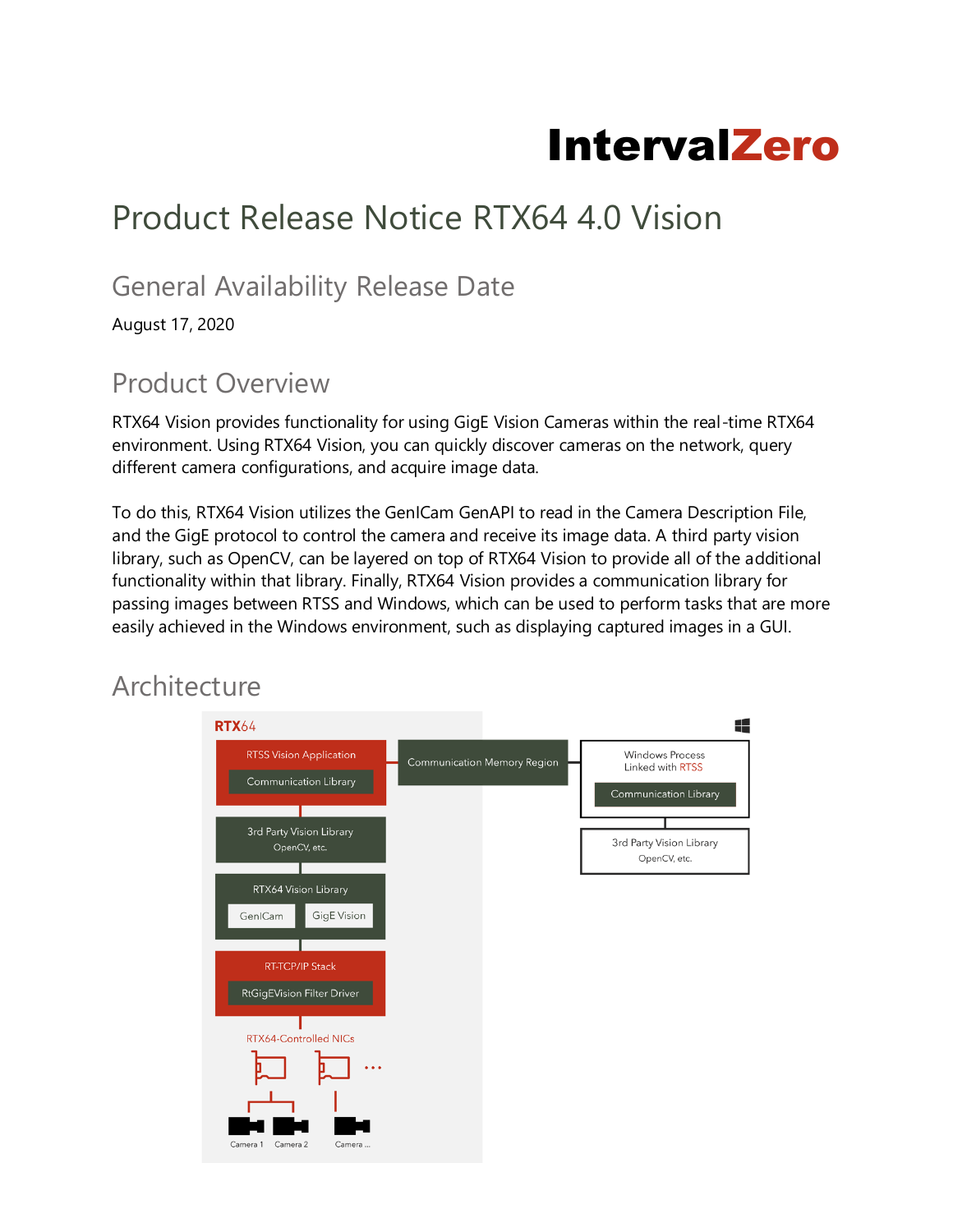# IntervalZero

## Product Release Notice RTX64 4.0 Vision

#### General Availability Release Date

August 17, 2020

### Product Overview

RTX64 Vision provides functionality for using GigE Vision Cameras within the real-time RTX64 environment. Using RTX64 Vision, you can quickly discover cameras on the network, query different camera configurations, and acquire image data.

To do this, RTX64 Vision utilizes the GenICam GenAPI to read in the Camera Description File, and the GigE protocol to control the camera and receive its image data. A third party vision library, such as OpenCV, can be layered on top of RTX64 Vision to provide all of the additional functionality within that library. Finally, RTX64 Vision provides a communication library for passing images between RTSS and Windows, which can be used to perform tasks that are more easily achieved in the Windows environment, such as displaying captured images in a GUI.

### **Architecture**